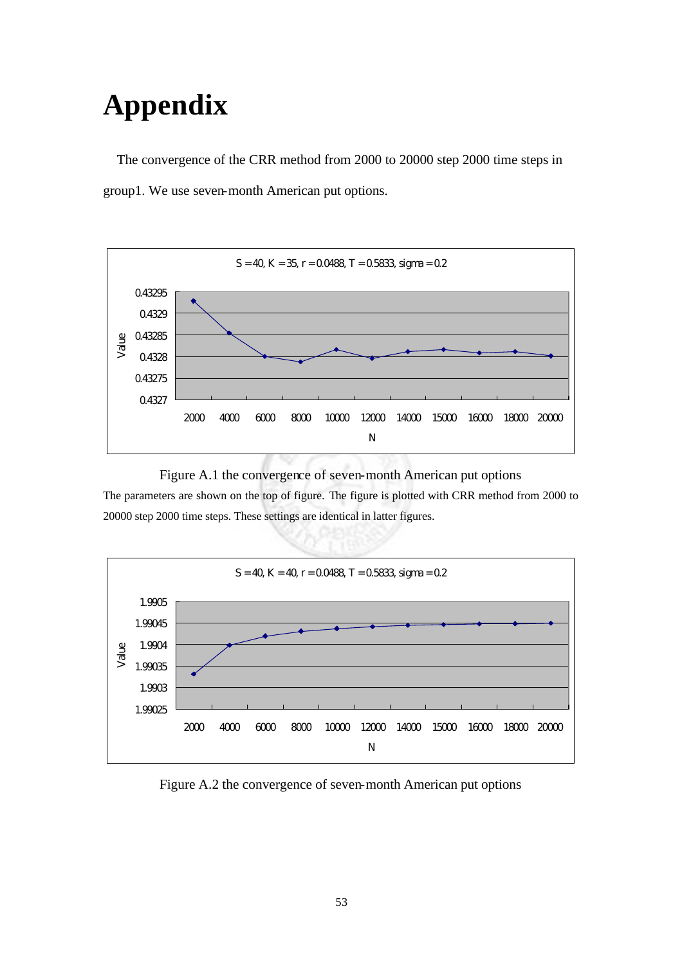## **Appendix**

The convergence of the CRR method from 2000 to 20000 step 2000 time steps in group1. We use seven-month American put options.



Figure A.1 the convergence of seven-month American put options The parameters are shown on the top of figure. The figure is plotted with CRR method from 2000 to 20000 step 2000 time steps. These settings are identical in latter figures.



Figure A.2 the convergence of seven-month American put options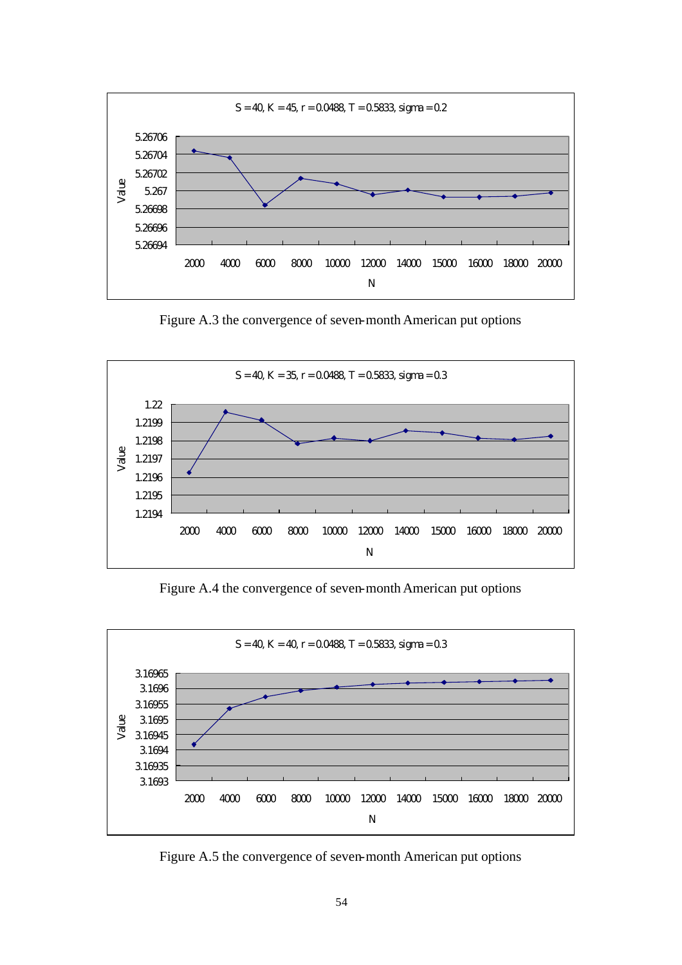

Figure A.3 the convergence of seven-month American put options



Figure A.4 the convergence of seven-month American put options



Figure A.5 the convergence of seven-month American put options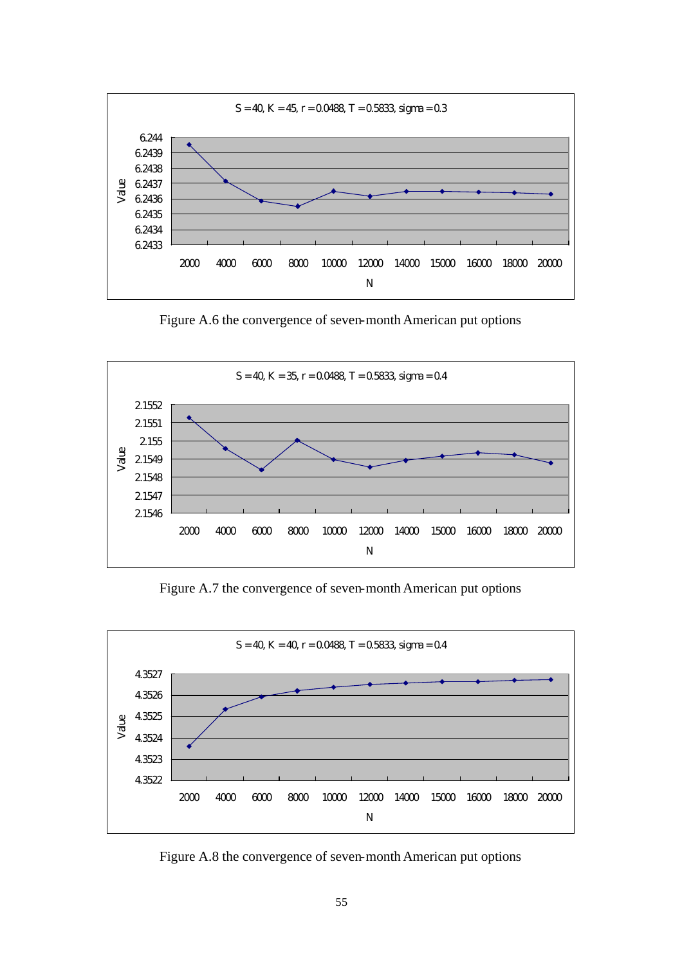

Figure A.6 the convergence of seven-month American put options



Figure A.7 the convergence of seven-month American put options



Figure A.8 the convergence of seven-month American put options